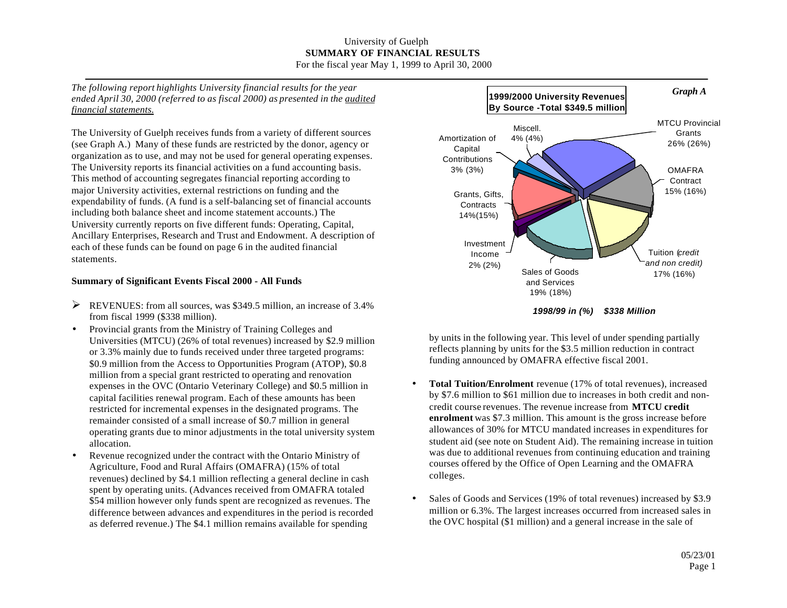## University of Guelph **SUMMARY OF FINANCIAL RESULTS** For the fiscal year May 1, 1999 to April 30, 2000

*The following report highlights University financial results for the year ended April 30, 2000 (referred to as fiscal 2000) as presented in the audited financial statements.*

The University of Guelph receives funds from a variety of different sources (see Graph A.) Many of these funds are restricted by the donor, agency or organization as to use, and may not be used for general operating expenses. The University reports its financial activities on a fund accounting basis. This method of accounting segregates financial reporting according to major University activities, external restrictions on funding and the expendability of funds. (A fund is a self-balancing set of financial accounts including both balance sheet and income statement accounts.) The University currently reports on five different funds: Operating, Capital, Ancillary Enterprises, Research and Trust and Endowment. A description of each of these funds can be found on page 6 in the audited financial statements.

## **Summary of Significant Events Fiscal 2000 - All Funds**

- $\triangleright$  REVENUES: from all sources, was \$349.5 million, an increase of 3.4% from fiscal 1999 (\$338 million).
- Provincial grants from the Ministry of Training Colleges and Universities (MTCU) (26% of total revenues) increased by \$2.9 million or 3.3% mainly due to funds received under three targeted programs: \$0.9 million from the Access to Opportunities Program (ATOP), \$0.8 million from a special grant restricted to operating and renovation expenses in the OVC (Ontario Veterinary College) and \$0.5 million in capital facilities renewal program. Each of these amounts has been restricted for incremental expenses in the designated programs. The remainder consisted of a small increase of \$0.7 million in general operating grants due to minor adjustments in the total university system allocation.
- Revenue recognized under the contract with the Ontario Ministry of Agriculture, Food and Rural Affairs (OMAFRA) (15% of total revenues) declined by \$4.1 million reflecting a general decline in cash spent by operating units. (Advances received from OMAFRA totaled \$54 million however only funds spent are recognized as revenues. The difference between advances and expenditures in the period is recorded as deferred revenue.) The \$4.1 million remains available for spending



by units in the following year. This level of under spending partially reflects planning by units for the \$3.5 million reduction in contract funding announced by OMAFRA effective fiscal 2001.

- **Total Tuition/Enrolment** revenue (17% of total revenues), increased by \$7.6 million to \$61 million due to increases in both credit and noncredit course revenues. The revenue increase from **MTCU credit enrolment** was \$7.3 million. This amount is the gross increase before allowances of 30% for MTCU mandated increases in expenditures for student aid (see note on Student Aid). The remaining increase in tuition was due to additional revenues from continuing education and training courses offered by the Office of Open Learning and the OMAFRA colleges.
- Sales of Goods and Services (19% of total revenues) increased by \$3.9 million or 6.3%. The largest increases occurred from increased sales in the OVC hospital (\$1 million) and a general increase in the sale of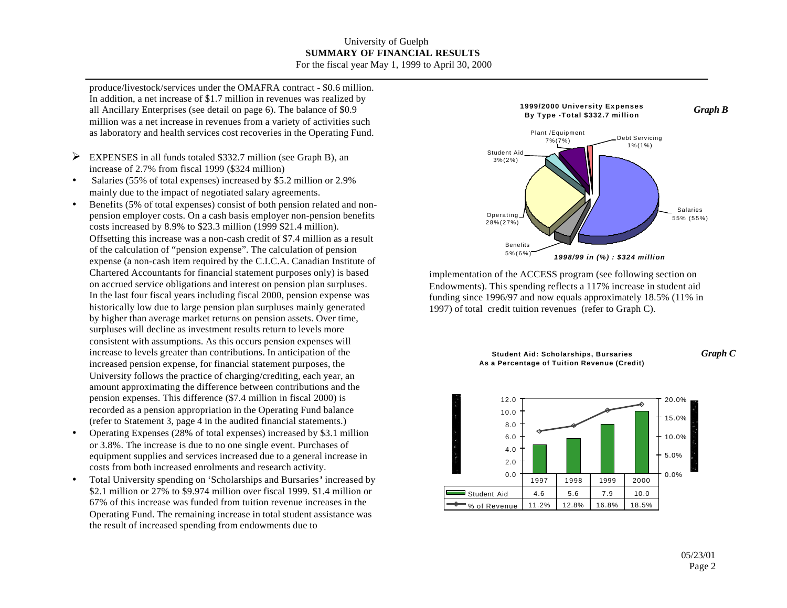### University of Guelph **SUMMARY OF FINANCIAL RESULTS** For the fiscal year May 1, 1999 to April 30, 2000

produce/livestock/services under the OMAFRA contract - \$0.6 million. In addition, a net increase of \$1.7 million in revenues was realized by all Ancillary Enterprises (see detail on page 6). The balance of \$0.9 million was a net increase in revenues from a variety of activities such as laboratory and health services cost recoveries in the Operating Fund.

- $\triangleright$  EXPENSES in all funds totaled \$332.7 million (see Graph B), an increase of 2.7% from fiscal 1999 (\$324 million)
- Salaries (55% of total expenses) increased by \$5.2 million or 2.9% mainly due to the impact of negotiated salary agreements.
- Benefits (5% of total expenses) consist of both pension related and nonpension employer costs. On a cash basis employer non-pension benefits costs increased by 8.9% to \$23.3 million (1999 \$21.4 million). Offsetting this increase was a non-cash credit of \$7.4 million as a result of the calculation of "pension expense". The calculation of pension expense (a non-cash item required by the C.I.C.A. Canadian Institute of Chartered Accountants for financial statement purposes only) is based on accrued service obligations and interest on pension plan surpluses. In the last four fiscal years including fiscal 2000, pension expense was historically low due to large pension plan surpluses mainly generated by higher than average market returns on pension assets. Over time, surpluses will decline as investment results return to levels more consistent with assumptions. As this occurs pension expenses will increase to levels greater than contributions. In anticipation of the increased pension expense, for financial statement purposes, the University follows the practice of charging/crediting, each year, an amount approximating the difference between contributions and the pension expenses. This difference (\$7.4 million in fiscal 2000) is recorded as a pension appropriation in the Operating Fund balance (refer to Statement 3, page 4 in the audited financial statements.)
- Operating Expenses (28% of total expenses) increased by \$3.1 million or 3.8%. The increase is due to no one single event. Purchases of equipment supplies and services increased due to a general increase in costs from both increased enrolments and research activity.
- Total University spending on 'Scholarships and Bursaries**'** increased by \$2.1 million or 27% to \$9.974 million over fiscal 1999. \$1.4 million or 67% of this increase was funded from tuition revenue increases in the Operating Fund. The remaining increase in total student assistance was the result of increased spending from endowments due to



implementation of the ACCESS program (see following section on Endowments). This spending reflects a 117% increase in student aid funding since 1996/97 and now equals approximately 18.5% (11% in 1997) of total credit tuition revenues (refer to Graph C).



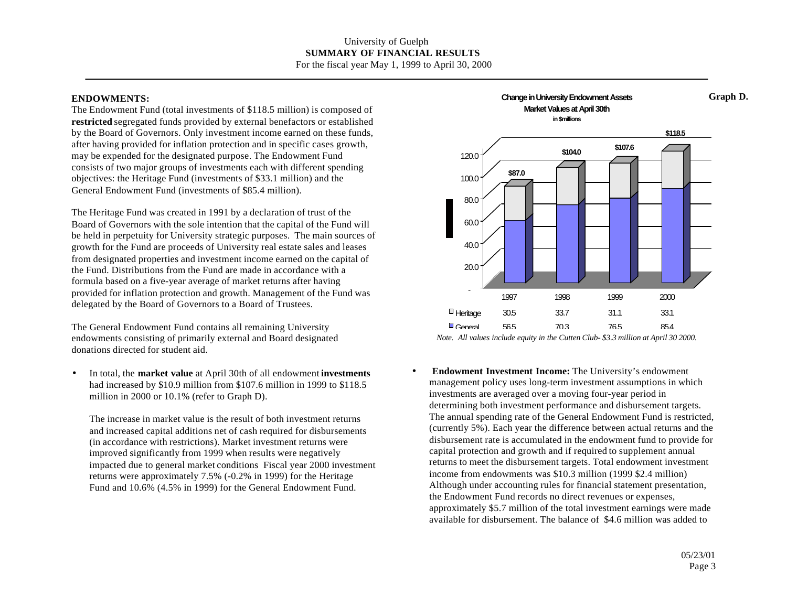### **ENDOWMENTS:**

The Endowment Fund (total investments of \$118.5 million) is composed of **restricted** segregated funds provided by external benefactors or established by the Board of Governors. Only investment income earned on these funds, after having provided for inflation protection and in specific cases growth, may be expended for the designated purpose. The Endowment Fund consists of two major groups of investments each with different spending objectives: the Heritage Fund (investments of \$33.1 million) and the General Endowment Fund (investments of \$85.4 million).

The Heritage Fund was created in 1991 by a declaration of trust of the Board of Governors with the sole intention that the capital of the Fund will be held in perpetuity for University strategic purposes. The main sources of growth for the Fund are proceeds of University real estate sales and leases from designated properties and investment income earned on the capital of the Fund. Distributions from the Fund are made in accordance with a formula based on a five-year average of market returns after having provided for inflation protection and growth. Management of the Fund was delegated by the Board of Governors to a Board of Trustees.

The General Endowment Fund contains all remaining University endowments consisting of primarily external and Board designated donations directed for student aid.

• In total, the **market value** at April 30th of all endowment **investments** had increased by \$10.9 million from \$107.6 million in 1999 to \$118.5 million in 2000 or 10.1% (refer to Graph D).

The increase in market value is the result of both investment returns and increased capital additions net of cash required for disbursements (in accordance with restrictions). Market investment returns were improved significantly from 1999 when results were negatively impacted due to general market conditions Fiscal year 2000 investment returns were approximately 7.5% (-0.2% in 1999) for the Heritage Fund and 10.6% (4.5% in 1999) for the General Endowment Fund.



*Note. All values include equity in the Cutten Club- \$3.3 million at April 30 2000.*

• **Endowment Investment Income:** The University's endowment management policy uses long-term investment assumptions in which investments are averaged over a moving four-year period in determining both investment performance and disbursement targets. The annual spending rate of the General Endowment Fund is restricted, (currently 5%). Each year the difference between actual returns and the disbursement rate is accumulated in the endowment fund to provide for capital protection and growth and if required to supplement annual returns to meet the disbursement targets. Total endowment investment income from endowments was \$10.3 million (1999 \$2.4 million) Although under accounting rules for financial statement presentation, the Endowment Fund records no direct revenues or expenses, approximately \$5.7 million of the total investment earnings were made available for disbursement. The balance of \$4.6 million was added to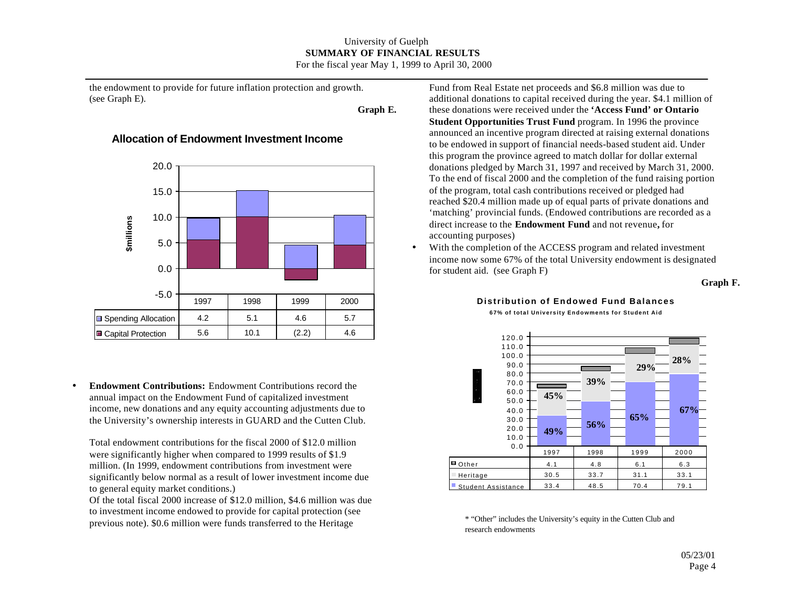### University of Guelph **SUMMARY OF FINANCIAL RESULTS** For the fiscal year May 1, 1999 to April 30, 2000

the endowment to provide for future inflation protection and growth. (see Graph E).

**Graph E.**

## **Allocation of Endowment Investment Income**



• **Endowment Contributions:** Endowment Contributions record the annual impact on the Endowment Fund of capitalized investment income, new donations and any equity accounting adjustments due to the University's ownership interests in GUARD and the Cutten Club.

Total endowment contributions for the fiscal 2000 of \$12.0 million were significantly higher when compared to 1999 results of \$1.9 million. (In 1999, endowment contributions from investment were significantly below normal as a result of lower investment income due to general equity market conditions.)

Of the total fiscal 2000 increase of \$12.0 million, \$4.6 million was due to investment income endowed to provide for capital protection (see previous note). \$0.6 million were funds transferred to the Heritage

Fund from Real Estate net proceeds and \$6.8 million was due to additional donations to capital received during the year. \$4.1 million of these donations were received under the **'Access Fund' or Ontario Student Opportunities Trust Fund** program. In 1996 the province announced an incentive program directed at raising external donations to be endowed in support of financial needs-based student aid. Under this program the province agreed to match dollar for dollar external donations pledged by March 31, 1997 and received by March 31, 2000. To the end of fiscal 2000 and the completion of the fund raising portion of the program, total cash contributions received or pledged had reached \$20.4 million made up of equal parts of private donations and 'matching' provincial funds. (Endowed contributions are recorded as a direct increase to the **Endowment Fund** and not revenue**,** for accounting purposes)

• With the completion of the ACCESS program and related investment income now some 67% of the total University endowment is designated for student aid. (see Graph F)

#### **Graph F.**

#### **Distribution of Endowed Fund Balances 67% of total University Endowments for Student Aid**



\* "Other" includes the University's equity in the Cutten Club and research endowments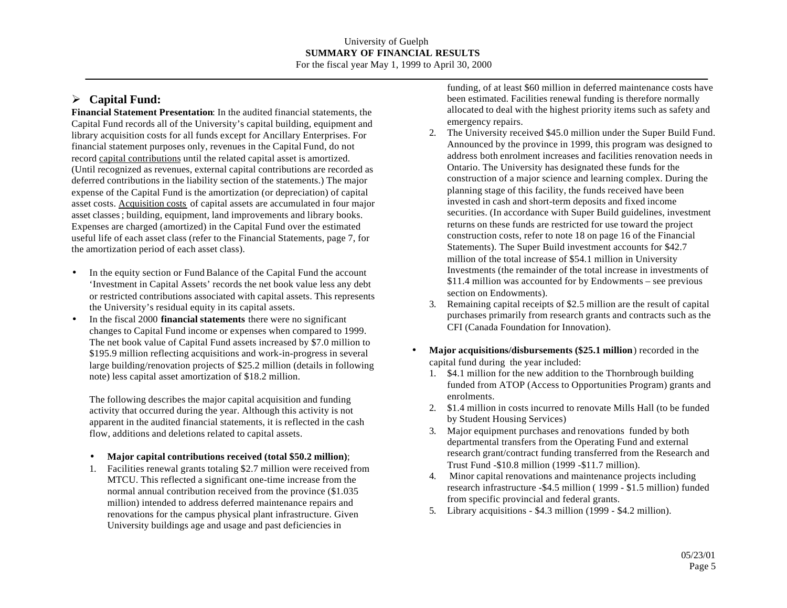# ÿ **Capital Fund:**

**Financial Statement Presentation**: In the audited financial statements, the Capital Fund records all of the University's capital building, equipment and library acquisition costs for all funds except for Ancillary Enterprises. For financial statement purposes only, revenues in the Capital Fund, do not record capital contributions until the related capital asset is amortized. (Until recognized as revenues, external capital contributions are recorded as deferred contributions in the liability section of the statements.) The major expense of the Capital Fund is the amortization (or depreciation) of capital asset costs. Acquisition costs of capital assets are accumulated in four major asset classes; building, equipment, land improvements and library books. Expenses are charged (amortized) in the Capital Fund over the estimated useful life of each asset class (refer to the Financial Statements, page 7, for the amortization period of each asset class).

- In the equity section or Fund Balance of the Capital Fund the account 'Investment in Capital Assets' records the net book value less any debt or restricted contributions associated with capital assets. This represents the University's residual equity in its capital assets.
- In the fiscal 2000 **financial statements** there were no significant changes to Capital Fund income or expenses when compared to 1999. The net book value of Capital Fund assets increased by \$7.0 million to \$195.9 million reflecting acquisitions and work-in-progress in several large building/renovation projects of \$25.2 million (details in following note) less capital asset amortization of \$18.2 million.

The following describes the major capital acquisition and funding activity that occurred during the year. Although this activity is not apparent in the audited financial statements, it is reflected in the cash flow, additions and deletions related to capital assets.

- **Major capital contributions received (total \$50.2 million)**;
- 1. Facilities renewal grants totaling \$2.7 million were received from MTCU. This reflected a significant one-time increase from the normal annual contribution received from the province (\$1.035 million) intended to address deferred maintenance repairs and renovations for the campus physical plant infrastructure. Given University buildings age and usage and past deficiencies in

funding, of at least \$60 million in deferred maintenance costs have been estimated. Facilities renewal funding is therefore normally allocated to deal with the highest priority items such as safety and emergency repairs.

- 2. The University received \$45.0 million under the Super Build Fund. Announced by the province in 1999, this program was designed to address both enrolment increases and facilities renovation needs in Ontario. The University has designated these funds for the construction of a major science and learning complex. During the planning stage of this facility, the funds received have been invested in cash and short-term deposits and fixed income securities. (In accordance with Super Build guidelines, investment returns on these funds are restricted for use toward the project construction costs, refer to note 18 on page 16 of the Financial Statements). The Super Build investment accounts for \$42.7 million of the total increase of \$54.1 million in University Investments (the remainder of the total increase in investments of \$11.4 million was accounted for by Endowments – see previous section on Endowments).
- 3. Remaining capital receipts of \$2.5 million are the result of capital purchases primarily from research grants and contracts such as the CFI (Canada Foundation for Innovation).
- **Major acquisitions/disbursements (\$25.1 million**) recorded in the capital fund during the year included:
	- 1. \$4.1 million for the new addition to the Thornbrough building funded from ATOP (Access to Opportunities Program) grants and enrolments.
	- 2. \$1.4 million in costs incurred to renovate Mills Hall (to be funded by Student Housing Services)
	- 3. Major equipment purchases and renovations funded by both departmental transfers from the Operating Fund and external research grant/contract funding transferred from the Research and Trust Fund -\$10.8 million (1999 -\$11.7 million).
	- 4. Minor capital renovations and maintenance projects including research infrastructure -\$4.5 million ( 1999 - \$1.5 million) funded from specific provincial and federal grants.
	- 5. Library acquisitions \$4.3 million (1999 \$4.2 million).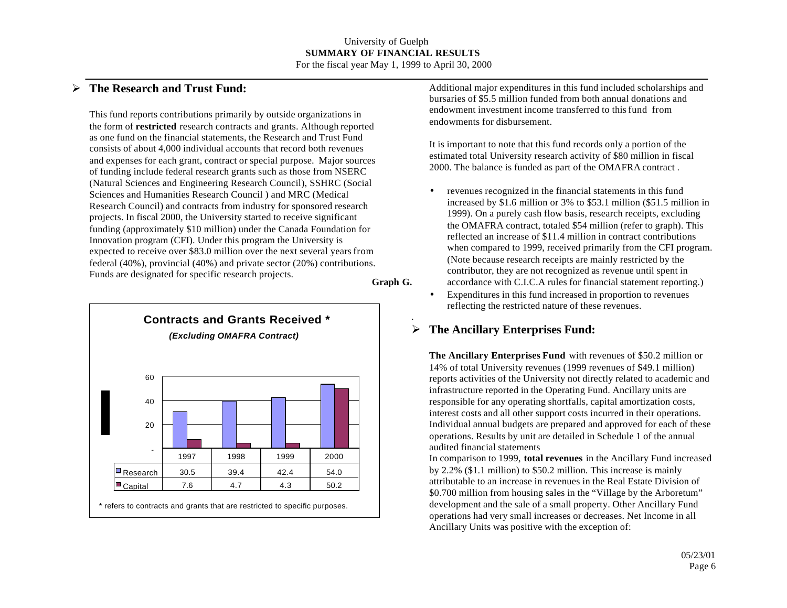.

## ÿ **The Research and Trust Fund:**

This fund reports contributions primarily by outside organizations in the form of **restricted** research contracts and grants. Although reported as one fund on the financial statements, the Research and Trust Fund consists of about 4,000 individual accounts that record both revenues and expenses for each grant, contract or special purpose. Major sources of funding include federal research grants such as those from NSERC (Natural Sciences and Engineering Research Council), SSHRC (Social Sciences and Humanities Research Council ) and MRC (Medical Research Council) and contracts from industry for sponsored research projects. In fiscal 2000, the University started to receive significant funding (approximately \$10 million) under the Canada Foundation for Innovation program (CFI). Under this program the University is expected to receive over \$83.0 million over the next several years from federal (40%), provincial (40%) and private sector (20%) contributions. Funds are designated for specific research projects. **Graph G.**



Additional major expenditures in this fund included scholarships and bursaries of \$5.5 million funded from both annual donations and endowment investment income transferred to this fund from endowments for disbursement.

It is important to note that this fund records only a portion of the estimated total University research activity of \$80 million in fiscal 2000. The balance is funded as part of the OMAFRA contract .

- revenues recognized in the financial statements in this fund increased by \$1.6 million or 3% to \$53.1 million (\$51.5 million in 1999). On a purely cash flow basis, research receipts, excluding the OMAFRA contract, totaled \$54 million (refer to graph). This reflected an increase of \$11.4 million in contract contributions when compared to 1999, received primarily from the CFI program. (Note because research receipts are mainly restricted by the contributor, they are not recognized as revenue until spent in accordance with C.I.C.A rules for financial statement reporting.)
- Expenditures in this fund increased in proportion to revenues reflecting the restricted nature of these revenues.

# ÿ **The Ancillary Enterprises Fund:**

**The Ancillary Enterprises Fund** with revenues of \$50.2 million or 14% of total University revenues (1999 revenues of \$49.1 million) reports activities of the University not directly related to academic and infrastructure reported in the Operating Fund. Ancillary units are responsible for any operating shortfalls, capital amortization costs, interest costs and all other support costs incurred in their operations. Individual annual budgets are prepared and approved for each of these operations. Results by unit are detailed in Schedule 1 of the annual audited financial statements

In comparison to 1999, **total revenues** in the Ancillary Fund increased by 2.2% (\$1.1 million) to \$50.2 million. This increase is mainly attributable to an increase in revenues in the Real Estate Division of \$0.700 million from housing sales in the "Village by the Arboretum" development and the sale of a small property. Other Ancillary Fund operations had very small increases or decreases. Net Income in all Ancillary Units was positive with the exception of: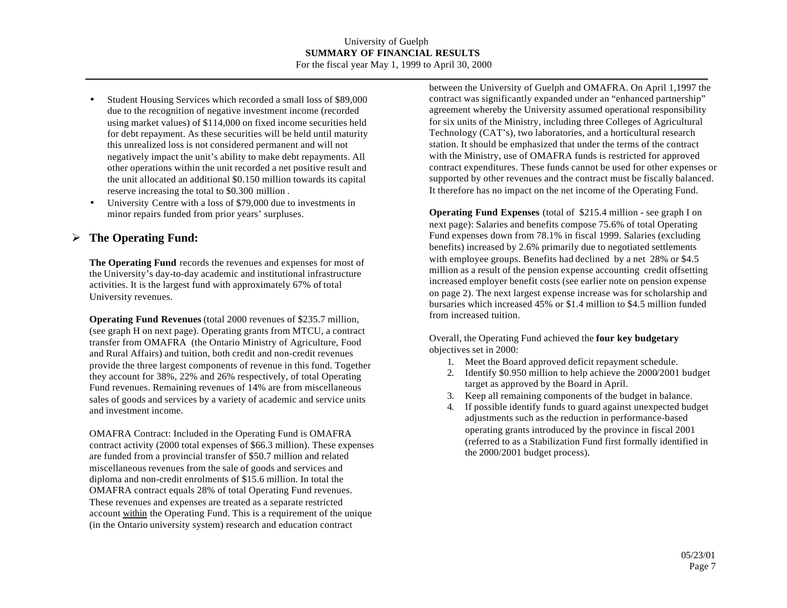- Student Housing Services which recorded a small loss of \$89,000 due to the recognition of negative investment income (recorded using market values) of \$114,000 on fixed income securities held for debt repayment. As these securities will be held until maturity this unrealized loss is not considered permanent and will not negatively impact the unit's ability to make debt repayments. All other operations within the unit recorded a net positive result and the unit allocated an additional \$0.150 million towards its capital reserve increasing the total to \$0.300 million .
- University Centre with a loss of \$79,000 due to investments in minor repairs funded from prior years' surpluses.

## ÿ **The Operating Fund:**

**The Operating Fund** records the revenues and expenses for most of the University's day-to-day academic and institutional infrastructure activities. It is the largest fund with approximately 67% of total University revenues.

**Operating Fund Revenues** (total 2000 revenues of \$235.7 million, (see graph H on next page). Operating grants from MTCU, a contract transfer from OMAFRA (the Ontario Ministry of Agriculture, Food and Rural Affairs) and tuition, both credit and non-credit revenues provide the three largest components of revenue in this fund. Together they account for 38%, 22% and 26% respectively, of total Operating Fund revenues. Remaining revenues of 14% are from miscellaneous sales of goods and services by a variety of academic and service units and investment income.

OMAFRA Contract: Included in the Operating Fund is OMAFRA contract activity (2000 total expenses of \$66.3 million). These expenses are funded from a provincial transfer of \$50.7 million and related miscellaneous revenues from the sale of goods and services and diploma and non-credit enrolments of \$15.6 million. In total the OMAFRA contract equals 28% of total Operating Fund revenues. These revenues and expenses are treated as a separate restricted account within the Operating Fund. This is a requirement of the unique (in the Ontario university system) research and education contract

between the University of Guelph and OMAFRA. On April 1,1997 the contract was significantly expanded under an "enhanced partnership" agreement whereby the University assumed operational responsibility for six units of the Ministry, including three Colleges of Agricultural Technology (CAT's), two laboratories, and a horticultural research station. It should be emphasized that under the terms of the contract with the Ministry, use of OMAFRA funds is restricted for approved contract expenditures. These funds cannot be used for other expenses or supported by other revenues and the contract must be fiscally balanced. It therefore has no impact on the net income of the Operating Fund.

**Operating Fund Expenses** (total of \$215.4 million - see graph I on next page): Salaries and benefits compose 75.6% of total Operating Fund expenses down from 78.1% in fiscal 1999. Salaries (excluding benefits) increased by 2.6% primarily due to negotiated settlements with employee groups. Benefits had declined by a net 28% or \$4.5 million as a result of the pension expense accounting credit offsetting increased employer benefit costs (see earlier note on pension expense on page 2). The next largest expense increase was for scholarship and bursaries which increased 45% or \$1.4 million to \$4.5 million funded from increased tuition.

Overall, the Operating Fund achieved the **four key budgetary** objectives set in 2000:

- 1. Meet the Board approved deficit repayment schedule.
- 2. Identify \$0.950 million to help achieve the 2000/2001 budget target as approved by the Board in April.
- 3. Keep all remaining components of the budget in balance.
- 4. If possible identify funds to guard against unexpected budget adjustments such as the reduction in performance-based operating grants introduced by the province in fiscal 2001 (referred to as a Stabilization Fund first formally identified in the 2000/2001 budget process).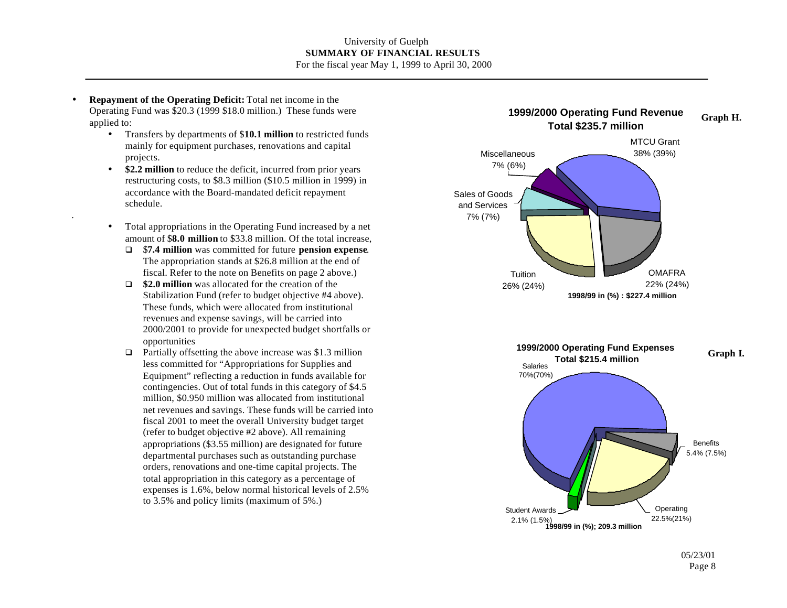• **Repayment of the Operating Deficit:** Total net income in the Operating Fund was \$20.3 (1999 \$18.0 million.) These funds were applied to:

.

- Transfers by departments of \$**10.1 million** to restricted funds mainly for equipment purchases, renovations and capital projects.
- **\$2.2 million** to reduce the deficit, incurred from prior years restructuring costs, to \$8.3 million (\$10.5 million in 1999) in accordance with the Board-mandated deficit repayment schedule.
- Total appropriations in the Operating Fund increased by a net amount of \$**8.0 million** to \$33.8 million. Of the total increase,
	- q \$**7.4 million** was committed for future **pension expense**. The appropriation stands at \$26.8 million at the end of fiscal. Refer to the note on Benefits on page 2 above.)
	- $\Box$  **\$2.0 million** was allocated for the creation of the Stabilization Fund (refer to budget objective #4 above). These funds, which were allocated from institutional revenues and expense savings, will be carried into 2000/2001 to provide for unexpected budget shortfalls or opportunities
	- $\Box$  Partially offsetting the above increase was \$1.3 million less committed for "Appropriations for Supplies and Equipment" reflecting a reduction in funds available for contingencies. Out of total funds in this category of \$4.5 million, \$0.950 million was allocated from institutional net revenues and savings. These funds will be carried into fiscal 2001 to meet the overall University budget target (refer to budget objective #2 above). All remaining appropriations (\$3.55 million) are designated for future departmental purchases such as outstanding purchase orders, renovations and one-time capital projects. The total appropriation in this category as a percentage of expenses is 1.6%, below normal historical levels of 2.5% to 3.5% and policy limits (maximum of 5%.)



Page 8